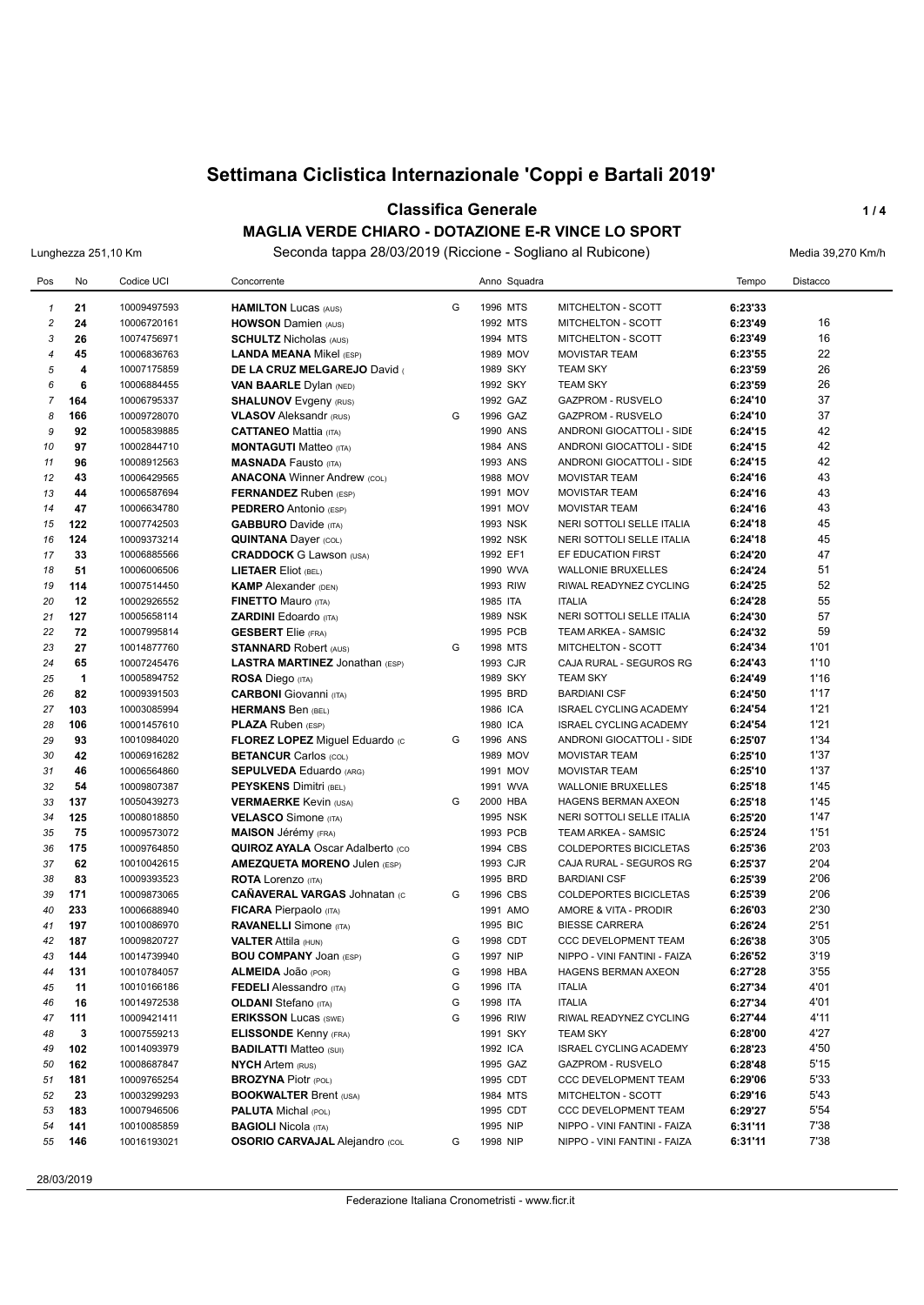#### **Classifica Generale 1/4**

**MAGLIA VERDE CHIARO - DOTAZIONE E-R VINCE LO SPORT** Lunghezza 251,10 Km Seconda tappa 28/03/2019 (Riccione - Sogliano al Rubicone) Media 39,270 Km/h

| Pos                     | No                  | Codice UCI                 | Concorrente                                                   |        | Anno Squadra         |                                                  | Tempo              | <b>Distacco</b> |
|-------------------------|---------------------|----------------------------|---------------------------------------------------------------|--------|----------------------|--------------------------------------------------|--------------------|-----------------|
| $\mathbf{1}$            | 21                  | 10009497593                | <b>HAMILTON Lucas (AUS)</b>                                   | G      | 1996 MTS             | MITCHELTON - SCOTT                               | 6:23'33            |                 |
| $\overline{\mathbf{c}}$ | 24                  | 10006720161                | <b>HOWSON Damien (AUS)</b>                                    |        | 1992 MTS             | MITCHELTON - SCOTT                               | 6:23'49            | 16              |
| 3                       | 26                  | 10074756971                | <b>SCHULTZ Nicholas (AUS)</b>                                 |        | 1994 MTS             | MITCHELTON - SCOTT                               | 6:23'49            | 16              |
| $\overline{4}$          | 45                  | 10006836763                | <b>LANDA MEANA Mikel (ESP)</b>                                |        | 1989 MOV             | <b>MOVISTAR TEAM</b>                             | 6:23'55            | 22              |
| 5                       | $\overline{\bf{4}}$ | 10007175859                | DE LA CRUZ MELGAREJO David                                    |        | 1989 SKY             | <b>TEAM SKY</b>                                  | 6:23'59            | 26              |
| 6                       | 6                   | 10006884455                | <b>VAN BAARLE Dylan (NED)</b>                                 |        | 1992 SKY             | <b>TEAM SKY</b>                                  | 6:23'59            | 26              |
| $\overline{7}$          | 164                 | 10006795337                | <b>SHALUNOV</b> Evgeny (RUS)                                  |        | 1992 GAZ             | <b>GAZPROM - RUSVELO</b>                         | 6:24'10            | 37              |
| 8                       | 166                 | 10009728070                | <b>VLASOV</b> Aleksandr (RUS)                                 | G      | 1996 GAZ             | <b>GAZPROM - RUSVELO</b>                         | 6:24'10            | 37              |
| 9                       | 92                  | 10005839885                | <b>CATTANEO Mattia (ITA)</b>                                  |        | 1990 ANS             | ANDRONI GIOCATTOLI - SIDE                        | 6:24'15            | 42              |
| 10                      | 97                  | 10002844710                | <b>MONTAGUTI Matteo (ITA)</b>                                 |        | 1984 ANS             | ANDRONI GIOCATTOLI - SIDE                        | 6:24'15            | 42              |
| 11                      | 96                  | 10008912563                | <b>MASNADA Fausto (ITA)</b>                                   |        | 1993 ANS             | ANDRONI GIOCATTOLI - SIDE                        | 6:24'15            | 42              |
| 12                      | 43                  | 10006429565                | <b>ANACONA Winner Andrew (COL)</b>                            |        | 1988 MOV             | <b>MOVISTAR TEAM</b>                             | 6:24'16            | 43              |
| 13                      | 44                  | 10006587694                | <b>FERNANDEZ</b> Ruben (ESP)                                  |        | 1991 MOV             | <b>MOVISTAR TEAM</b>                             | 6:24'16            | 43              |
| 14                      | 47                  | 10006634780                | <b>PEDRERO</b> Antonio (ESP)                                  |        | 1991 MOV             | <b>MOVISTAR TEAM</b>                             | 6:24'16            | 43              |
| 15                      | 122                 | 10007742503                | <b>GABBURO</b> Davide (ITA)                                   |        | 1993 NSK             | NERI SOTTOLI SELLE ITALIA                        | 6:24'18            | 45              |
| 16                      | 124                 | 10009373214                | <b>QUINTANA Dayer (COL)</b>                                   |        | 1992 NSK             | NERI SOTTOLI SELLE ITALIA                        | 6:24'18            | 45              |
| 17                      | 33                  | 10006885566                | <b>CRADDOCK G Lawson (USA)</b>                                |        | 1992 EF1             | EF EDUCATION FIRST                               | 6:24'20            | 47              |
| 18                      | 51                  | 10006006506                | <b>LIETAER Eliot (BEL)</b>                                    |        | 1990 WVA             | <b>WALLONIE BRUXELLES</b>                        | 6:24'24            | 51              |
| 19                      | 114                 | 10007514450                | <b>KAMP</b> Alexander (DEN)                                   |        | 1993 RIW             | RIWAL READYNEZ CYCLING                           | 6:24'25            | 52              |
| 20                      | 12                  | 10002926552                | <b>FINETTO Mauro (ITA)</b>                                    |        | 1985 ITA             | <b>ITALIA</b>                                    | 6:24'28            | 55              |
| 21                      | 127                 | 10005658114                | <b>ZARDINI Edoardo</b> (ITA)                                  |        | <b>1989 NSK</b>      | NERI SOTTOLI SELLE ITALIA                        | 6:24'30            | 57              |
| 22                      | 72                  | 10007995814                | <b>GESBERT</b> Elie (FRA)                                     |        | 1995 PCB             | TEAM ARKEA - SAMSIC                              | 6:24'32            | 59              |
| 23                      | 27                  | 10014877760                | <b>STANNARD Robert (AUS)</b>                                  | G      | 1998 MTS             | MITCHELTON - SCOTT                               | 6:24'34            | 1'01            |
| 24                      | 65                  | 10007245476                | LASTRA MARTINEZ Jonathan (ESP)                                |        | 1993 CJR             | CAJA RURAL - SEGUROS RG                          | 6:24'43            | 1'10            |
| 25                      | 1                   | 10005894752                | <b>ROSA Diego (ITA)</b>                                       |        | 1989 SKY             | <b>TEAM SKY</b>                                  | 6:24'49            | 1'16            |
| 26                      | 82                  | 10009391503                | <b>CARBONI</b> Giovanni (ITA)                                 |        | 1995 BRD             | <b>BARDIANI CSF</b>                              | 6:24'50            | 1'17            |
| 27                      | 103                 | 10003085994                | <b>HERMANS Ben (BEL)</b>                                      |        | 1986 ICA             | <b>ISRAEL CYCLING ACADEMY</b>                    | 6:24'54            | 1'21            |
| 28                      | 106                 | 10001457610                | <b>PLAZA Ruben (ESP)</b>                                      |        | 1980 ICA             | <b>ISRAEL CYCLING ACADEMY</b>                    | 6:24'54            | 1'21            |
| 29                      | 93                  | 10010984020                | <b>FLOREZ LOPEZ Miguel Eduardo (c)</b>                        | G      | 1996 ANS             | ANDRONI GIOCATTOLI - SIDE                        | 6:25'07            | 1'34            |
| 30                      | 42                  | 10006916282                | <b>BETANCUR Carlos (COL)</b>                                  |        | 1989 MOV             | <b>MOVISTAR TEAM</b>                             | 6:25'10            | 1'37            |
| 31                      | 46                  | 10006564860                | <b>SEPULVEDA Eduardo (ARG)</b>                                |        | 1991 MOV             | <b>MOVISTAR TEAM</b>                             | 6:25'10            | 1'37            |
| 32                      | 54                  | 10009807387                | <b>PEYSKENS Dimitri (BEL)</b>                                 |        | 1991 WVA             | <b>WALLONIE BRUXELLES</b>                        | 6:25'18            | 1'45            |
| 33                      | 137                 | 10050439273                | <b>VERMAERKE Kevin (USA)</b>                                  | G      | 2000 HBA             | HAGENS BERMAN AXEON                              | 6:25'18            | 1'45            |
| 34                      | 125                 | 10008018850                | <b>VELASCO</b> Simone (ITA)                                   |        | 1995 NSK             | NERI SOTTOLI SELLE ITALIA                        | 6:25'20            | 1'47            |
| 35                      | 75                  | 10009573072                | <b>MAISON</b> Jérémy (FRA)                                    |        | 1993 PCB             | TEAM ARKEA - SAMSIC                              | 6:25'24            | 1'51            |
| 36                      | 175                 | 10009764850                | <b>QUIROZ AYALA Oscar Adalberto (CO)</b>                      |        | 1994 CBS             | COLDEPORTES BICICLETAS                           | 6:25'36            | 2'03            |
| 37                      | 62                  | 10010042615                | <b>AMEZQUETA MORENO Julen (ESP)</b>                           |        | 1993 CJR             | CAJA RURAL - SEGUROS RG                          | 6:25'37            | 2'04            |
| 38                      | 83                  | 10009393523                | <b>ROTA</b> Lorenzo (ITA)                                     |        | 1995 BRD             | <b>BARDIANI CSF</b>                              | 6:25'39            | 2'06            |
| 39                      | 171                 | 10009873065                | <b>CAÑAVERAL VARGAS Johnatan (c)</b>                          | G      | 1996 CBS             | <b>COLDEPORTES BICICLETAS</b>                    | 6:25'39            | 2'06            |
| 40                      | 233                 | 10006688940                | <b>FICARA</b> Pierpaolo (ITA)                                 |        | 1991 AMO             | AMORE & VITA - PRODIR                            | 6:26'03            | 2'30            |
| 41                      | 197                 | 10010086970                | <b>RAVANELLI</b> Simone (ITA)                                 |        | 1995 BIC             | <b>BIESSE CARRERA</b>                            | 6:26'24            | 2'51            |
| 42                      | 187                 | 10009820727                | <b>VALTER Attila (HUN)</b>                                    | G      | 1998 CDT             | <b>CCC DEVELOPMENT TEAM</b>                      | 6:26'38            | 3'05            |
| 43                      | 144                 | 10014739940                | <b>BOU COMPANY JOAN (ESP)</b>                                 | G      | 1997 NIP             | NIPPO - VINI FANTINI - FAIZA                     | 6:26'52            | 3'19            |
| 44                      | 131                 | 10010784057                | ALMEIDA JOão (POR)                                            | G      | 1998 HBA             | HAGENS BERMAN AXEON                              | 6:27'28            | 3'55            |
| 45                      | 11                  | 10010166186                | <b>FEDELI</b> Alessandro (ITA)                                | G      | 1996 ITA             | <b>ITALIA</b>                                    | 6:27'34            | 4'01            |
| 46                      | 16                  | 10014972538                | <b>OLDANI</b> Stefano (ITA)                                   | G<br>G | 1998 ITA<br>1996 RIW | <b>ITALIA</b><br>RIWAL READYNEZ CYCLING          | 6:27'34            | 4'01<br>4'11    |
| 47                      | 111<br>3            | 10009421411                | <b>ERIKSSON Lucas (SWE)</b>                                   |        |                      |                                                  | 6:27'44            | 4'27            |
| 48<br>49                | 102                 | 10007559213<br>10014093979 | <b>ELISSONDE Kenny (FRA)</b><br><b>BADILATTI Matteo (SUI)</b> |        | 1991 SKY<br>1992 ICA | <b>TEAM SKY</b><br><b>ISRAEL CYCLING ACADEMY</b> | 6:28'00<br>6:28'23 | 4'50            |
| 50                      | 162                 | 10008687847                | <b>NYCH Artem (RUS)</b>                                       |        | 1995 GAZ             | GAZPROM - RUSVELO                                | 6:28'48            | 5'15            |
| 51                      | 181                 | 10009765254                | <b>BROZYNA Piotr (POL)</b>                                    |        | 1995 CDT             | CCC DEVELOPMENT TEAM                             | 6:29'06            | 5'33            |
| 52                      | 23                  | 10003299293                | <b>BOOKWALTER Brent (USA)</b>                                 |        | 1984 MTS             | MITCHELTON - SCOTT                               | 6:29'16            | 5'43            |
| 53                      | 183                 | 10007946506                | <b>PALUTA Michal (POL)</b>                                    |        | 1995 CDT             | CCC DEVELOPMENT TEAM                             | 6:29'27            | 5'54            |
| 54                      | 141                 | 10010085859                | <b>BAGIOLI Nicola (ITA)</b>                                   |        | 1995 NIP             | NIPPO - VINI FANTINI - FAIZA                     | 6:31'11            | 7'38            |
| 55                      | 146                 | 10016193021                | <b>OSORIO CARVAJAL Alejandro (COL</b>                         | G      | 1998 NIP             | NIPPO - VINI FANTINI - FAIZA                     | 6:31'11            | 7'38            |
|                         |                     |                            |                                                               |        |                      |                                                  |                    |                 |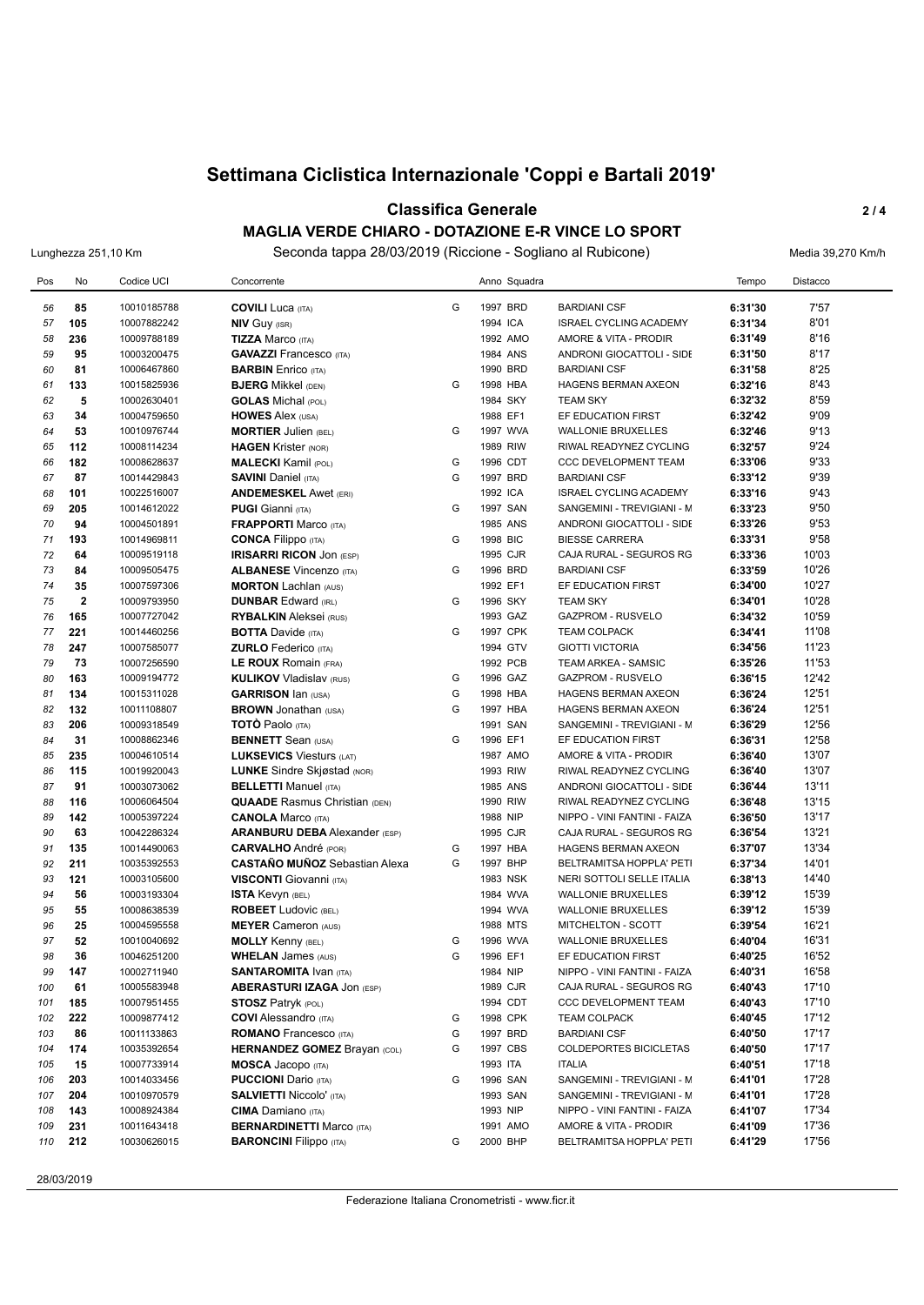#### **Classifica Generale 2 / 4 MAGLIA VERDE CHIARO - DOTAZIONE E-R VINCE LO SPORT**

Lunghezza 251,10 Km Seconda tappa 28/03/2019 (Riccione - Sogliano al Rubicone) Media 39,270 Km/h

| Pos | No             | Codice UCI  | Concorrente                          |   | Anno Squadra |                               | Tempo   | Distacco |
|-----|----------------|-------------|--------------------------------------|---|--------------|-------------------------------|---------|----------|
| 56  | 85             | 10010185788 | <b>COVILI</b> Luca (ITA)             | G | 1997 BRD     | <b>BARDIANI CSF</b>           | 6:31'30 | 7'57     |
| 57  | 105            | 10007882242 | <b>NIV Guy (ISR)</b>                 |   | 1994 ICA     | <b>ISRAEL CYCLING ACADEMY</b> | 6:31'34 | 8'01     |
| 58  | 236            | 10009788189 | <b>TIZZA Marco (ITA)</b>             |   | 1992 AMO     | AMORE & VITA - PRODIR         | 6:31'49 | 8'16     |
| 59  | 95             | 10003200475 | <b>GAVAZZI</b> Francesco (ITA)       |   | 1984 ANS     | ANDRONI GIOCATTOLI - SIDE     | 6:31'50 | 8'17     |
| 60  | 81             | 10006467860 | <b>BARBIN</b> Enrico (ITA)           |   | 1990 BRD     | <b>BARDIANI CSF</b>           | 6:31'58 | 8'25     |
| 61  | 133            | 10015825936 | <b>BJERG Mikkel (DEN)</b>            | G | 1998 HBA     | HAGENS BERMAN AXEON           | 6:32'16 | 8'43     |
| 62  | 5              | 10002630401 | <b>GOLAS</b> Michal (POL)            |   | 1984 SKY     | <b>TEAM SKY</b>               | 6:32'32 | 8'59     |
| 63  | 34             | 10004759650 | <b>HOWES Alex (USA)</b>              |   | 1988 EF1     | EF EDUCATION FIRST            | 6:32'42 | 9'09     |
| 64  | 53             | 10010976744 | <b>MORTIER Julien (BEL)</b>          | G | 1997 WVA     | <b>WALLONIE BRUXELLES</b>     | 6:32'46 | 9'13     |
| 65  | 112            | 10008114234 | <b>HAGEN Krister (NOR)</b>           |   | 1989 RIW     | RIWAL READYNEZ CYCLING        | 6:32'57 | 9'24     |
| 66  | 182            | 10008628637 | <b>MALECKI</b> Kamil (POL)           | G | 1996 CDT     | CCC DEVELOPMENT TEAM          | 6:33'06 | 9'33     |
| 67  | 87             | 10014429843 | <b>SAVINI Daniel (ITA)</b>           | G | 1997 BRD     | <b>BARDIANI CSF</b>           | 6:33'12 | 9'39     |
| 68  | 101            | 10022516007 | <b>ANDEMESKEL Awet (ERI)</b>         |   | 1992 ICA     | <b>ISRAEL CYCLING ACADEMY</b> | 6:33'16 | 9'43     |
| 69  | 205            | 10014612022 | <b>PUGI Gianni</b> (ITA)             | G | 1997 SAN     | SANGEMINI - TREVIGIANI - M    | 6:33'23 | 9'50     |
| 70  | 94             | 10004501891 | <b>FRAPPORTI Marco (ITA)</b>         |   | 1985 ANS     | ANDRONI GIOCATTOLI - SIDE     | 6:33'26 | 9'53     |
| 71  | 193            | 10014969811 | <b>CONCA Filippo</b> (ITA)           | G | 1998 BIC     | <b>BIESSE CARRERA</b>         | 6:33'31 | 9'58     |
| 72  | 64             | 10009519118 | <b>IRISARRI RICON JON (ESP)</b>      |   | 1995 CJR     | CAJA RURAL - SEGUROS RG       | 6:33'36 | 10'03    |
| 73  | 84             | 10009505475 | <b>ALBANESE Vincenzo (ITA)</b>       | G | 1996 BRD     | <b>BARDIANI CSF</b>           | 6:33'59 | 10'26    |
| 74  | 35             | 10007597306 | <b>MORTON Lachlan (AUS)</b>          |   | 1992 EF1     | EF EDUCATION FIRST            | 6:34'00 | 10'27    |
| 75  | $\overline{2}$ | 10009793950 | <b>DUNBAR Edward (IRL)</b>           | G | 1996 SKY     | <b>TEAM SKY</b>               | 6:34'01 | 10'28    |
| 76  | 165            | 10007727042 | <b>RYBALKIN</b> Aleksei (RUS)        |   | 1993 GAZ     | <b>GAZPROM - RUSVELO</b>      | 6:34'32 | 10'59    |
| 77  | 221            | 10014460256 | <b>BOTTA Davide (ITA)</b>            | G | 1997 CPK     | <b>TEAM COLPACK</b>           | 6:34'41 | 11'08    |
| 78  | 247            | 10007585077 | <b>ZURLO</b> Federico (ITA)          |   | 1994 GTV     | <b>GIOTTI VICTORIA</b>        | 6:34'56 | 11'23    |
| 79  | 73             | 10007256590 | <b>LE ROUX Romain (FRA)</b>          |   | 1992 PCB     | <b>TEAM ARKEA - SAMSIC</b>    | 6:35'26 | 11'53    |
| 80  | 163            | 10009194772 | <b>KULIKOV Vladislav (RUS)</b>       | G | 1996 GAZ     | <b>GAZPROM - RUSVELO</b>      | 6:36'15 | 12'42    |
| 81  | 134            | 10015311028 | <b>GARRISON Ian (USA)</b>            | G | 1998 HBA     | <b>HAGENS BERMAN AXEON</b>    | 6:36'24 | 12'51    |
| 82  | 132            | 10011108807 | <b>BROWN</b> Jonathan (USA)          | G | 1997 HBA     | HAGENS BERMAN AXEON           | 6:36'24 | 12'51    |
| 83  | 206            | 10009318549 | <b>TOTO</b> Paolo (ITA)              |   | 1991 SAN     | SANGEMINI - TREVIGIANI - M    | 6:36'29 | 12'56    |
| 84  | 31             | 10008862346 | <b>BENNETT</b> Sean (USA)            | G | 1996 EF1     | EF EDUCATION FIRST            | 6:36'31 | 12'58    |
| 85  | 235            | 10004610514 | <b>LUKSEVICS Viesturs (LAT)</b>      |   | 1987 AMO     | AMORE & VITA - PRODIR         | 6:36'40 | 13'07    |
| 86  | 115            | 10019920043 | <b>LUNKE</b> Sindre Skjøstad (NOR)   |   | 1993 RIW     | RIWAL READYNEZ CYCLING        | 6:36'40 | 13'07    |
| 87  | 91             | 10003073062 | <b>BELLETTI Manuel (ITA)</b>         |   | 1985 ANS     | ANDRONI GIOCATTOLI - SIDE     | 6:36'44 | 13'11    |
| 88  | 116            | 10006064504 | <b>QUAADE</b> Rasmus Christian (DEN) |   | 1990 RIW     | RIWAL READYNEZ CYCLING        | 6:36'48 | 13'15    |
| 89  | 142            | 10005397224 | <b>CANOLA Marco (ITA)</b>            |   | 1988 NIP     | NIPPO - VINI FANTINI - FAIZA  | 6:36'50 | 13'17    |
| 90  | 63             | 10042286324 | <b>ARANBURU DEBA</b> Alexander (ESP) |   | 1995 CJR     | CAJA RURAL - SEGUROS RG       | 6:36'54 | 13'21    |
| 91  | 135            | 10014490063 | <b>CARVALHO</b> André (POR)          | G | 1997 HBA     | HAGENS BERMAN AXEON           | 6:37'07 | 13'34    |
| 92  | 211            | 10035392553 | <b>CASTAÑO MUÑOZ</b> Sebastian Alexa | G | 1997 BHP     | BELTRAMITSA HOPPLA' PETI      | 6:37'34 | 14'01    |
| 93  | 121            | 10003105600 | <b>VISCONTI</b> Giovanni (ITA)       |   | 1983 NSK     | NERI SOTTOLI SELLE ITALIA     | 6:38'13 | 14'40    |
| 94  | 56             | 10003193304 | ISTA Kevyn (BEL)                     |   | 1984 WVA     | <b>WALLONIE BRUXELLES</b>     | 6:39'12 | 15'39    |
| 95  | 55             | 10008638539 | <b>ROBEET</b> Ludovic (BEL)          |   | 1994 WVA     | <b>WALLONIE BRUXELLES</b>     | 6:39'12 | 15'39    |
| 96  | 25             | 10004595558 | <b>MEYER Cameron (AUS)</b>           |   | 1988 MTS     | MITCHELTON - SCOTT            | 6:39'54 | 16'21    |
| 97  | 52             | 10010040692 | <b>MOLLY Kenny (BEL)</b>             | G | 1996 WVA     | <b>WALLONIE BRUXELLES</b>     | 6:40'04 | 16'31    |
| 98  | 36             | 10046251200 | <b>WHELAN James (AUS)</b>            | G | 1996 EF1     | EF EDUCATION FIRST            | 6:40'25 | 16'52    |
| 99  | 147            | 10002711940 | <b>SANTAROMITA IVAN (ITA)</b>        |   | 1984 NIP     | NIPPO - VINI FANTINI - FAIZA  | 6:40'31 | 16'58    |
| 100 | 61             | 10005583948 | <b>ABERASTURI IZAGA JON (ESP)</b>    |   | 1989 CJR     | CAJA RURAL - SEGUROS RG       | 6:40'43 | 17'10    |
| 101 | 185            | 10007951455 | <b>STOSZ Patryk (POL)</b>            |   | 1994 CDT     | CCC DEVELOPMENT TEAM          | 6:40'43 | 17'10    |
| 102 | 222            | 10009877412 | <b>COVI</b> Alessandro (ITA)         | G | 1998 CPK     | <b>TEAM COLPACK</b>           | 6:40'45 | 17'12    |
| 103 | 86             | 10011133863 | <b>ROMANO</b> Francesco (ITA)        | G | 1997 BRD     | <b>BARDIANI CSF</b>           | 6:40'50 | 17'17    |
| 104 | 174            | 10035392654 | <b>HERNANDEZ GOMEZ Brayan (COL)</b>  | G | 1997 CBS     | <b>COLDEPORTES BICICLETAS</b> | 6:40'50 | 17'17    |
| 105 | 15             | 10007733914 | <b>MOSCA Jacopo</b> (ITA)            |   | 1993 ITA     | <b>ITALIA</b>                 | 6:40'51 | 17'18    |
| 106 | 203            | 10014033456 | <b>PUCCIONI</b> Dario (ITA)          | G | 1996 SAN     | SANGEMINI - TREVIGIANI - M    | 6:41'01 | 17'28    |
| 107 | 204            | 10010970579 | <b>SALVIETTI Niccolo' (ITA)</b>      |   | 1993 SAN     | SANGEMINI - TREVIGIANI - M    | 6:41'01 | 17'28    |
| 108 | 143            | 10008924384 | <b>CIMA</b> Damiano (ITA)            |   | 1993 NIP     | NIPPO - VINI FANTINI - FAIZA  | 6:41'07 | 17'34    |
| 109 | 231            | 10011643418 | <b>BERNARDINETTI Marco (ITA)</b>     |   | 1991 AMO     | AMORE & VITA - PRODIR         | 6:41'09 | 17'36    |
| 110 | 212            | 10030626015 | <b>BARONCINI Filippo</b> (ITA)       | G | 2000 BHP     | BELTRAMITSA HOPPLA' PETI      | 6:41'29 | 17'56    |

28/03/2019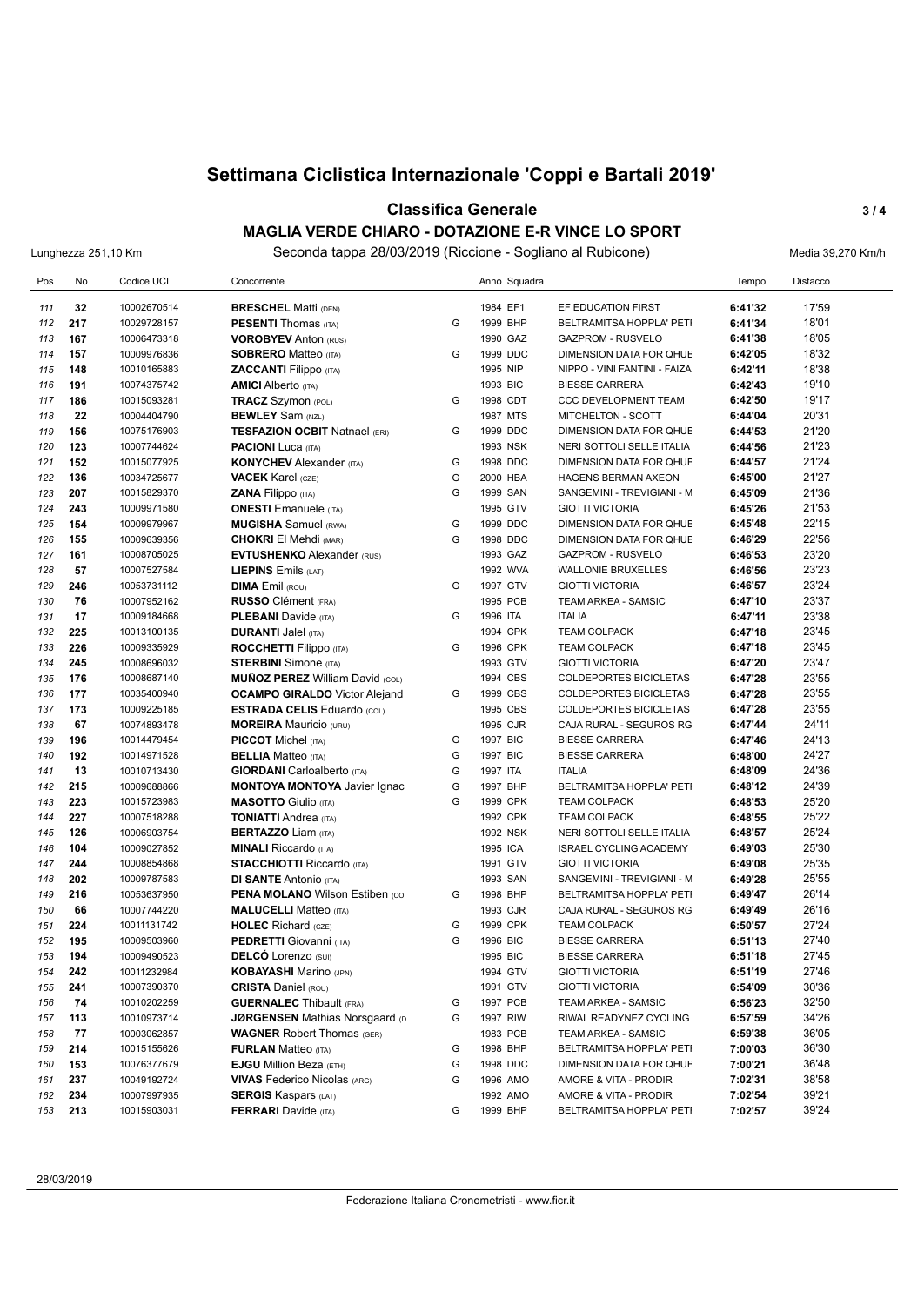#### **Classifica Generale 3 / 4 MAGLIA VERDE CHIARO - DOTAZIONE E-R VINCE LO SPORT**

Lunghezza 251,10 Km Seconda tappa 28/03/2019 (Riccione - Sogliano al Rubicone) Media 39,270 Km/h

| Pos        | No        | Codice UCI  | Concorrente                                                |   | Anno Squadra |                               | Tempo   | Distacco       |
|------------|-----------|-------------|------------------------------------------------------------|---|--------------|-------------------------------|---------|----------------|
|            |           | 10002670514 |                                                            |   | 1984 EF1     | EF EDUCATION FIRST            | 6:41'32 | 17'59          |
| 111<br>112 | 32<br>217 | 10029728157 | <b>BRESCHEL Matti (DEN)</b><br><b>PESENTI Thomas (ITA)</b> | G | 1999 BHP     | BELTRAMITSA HOPPLA' PETI      | 6:41'34 | 18'01          |
| 113        | 167       | 10006473318 | <b>VOROBYEV Anton (RUS)</b>                                |   | 1990 GAZ     | <b>GAZPROM - RUSVELO</b>      | 6:41'38 | 18'05          |
| 114        | 157       | 10009976836 | <b>SOBRERO Matteo (ITA)</b>                                | G | 1999 DDC     | DIMENSION DATA FOR QHUE       | 6:42'05 | 18'32          |
| 115        | 148       | 10010165883 | <b>ZACCANTI</b> Filippo (ITA)                              |   | 1995 NIP     | NIPPO - VINI FANTINI - FAIZA  | 6:42'11 | 18'38          |
| 116        | 191       | 10074375742 | <b>AMICI</b> Alberto (ITA)                                 |   | 1993 BIC     | <b>BIESSE CARRERA</b>         | 6:42'43 | 19'10          |
| 117        | 186       | 10015093281 | <b>TRACZ</b> Szymon (POL)                                  | G | 1998 CDT     | <b>CCC DEVELOPMENT TEAM</b>   | 6:42'50 | 19'17          |
| 118        | 22        | 10004404790 | <b>BEWLEY</b> Sam (NZL)                                    |   | 1987 MTS     | MITCHELTON - SCOTT            | 6:44'04 | 20'31          |
| 119        | 156       | 10075176903 | <b>TESFAZION OCBIT Natnael (ERI)</b>                       | G | 1999 DDC     | DIMENSION DATA FOR QHUE       | 6:44'53 | 21'20          |
| 120        | 123       | 10007744624 | <b>PACIONI</b> Luca (ITA)                                  |   | 1993 NSK     | NERI SOTTOLI SELLE ITALIA     | 6:44'56 | 21'23          |
| 121        | 152       | 10015077925 | <b>KONYCHEV</b> Alexander (ITA)                            | G | 1998 DDC     | DIMENSION DATA FOR QHUE       | 6:44'57 | 21'24          |
| 122        | 136       | 10034725677 | <b>VACEK</b> Karel (CZE)                                   | G | 2000 HBA     | <b>HAGENS BERMAN AXEON</b>    | 6:45'00 | 21'27          |
| 123        | 207       | 10015829370 | <b>ZANA Filippo</b> (ITA)                                  | G | 1999 SAN     | SANGEMINI - TREVIGIANI - M    | 6:45'09 | 21'36          |
| 124        | 243       | 10009971580 | <b>ONESTI</b> Emanuele (ITA)                               |   | 1995 GTV     | <b>GIOTTI VICTORIA</b>        | 6:45'26 | 21'53          |
| 125        | 154       | 10009979967 | <b>MUGISHA</b> Samuel (RWA)                                | G | 1999 DDC     | DIMENSION DATA FOR QHUE       | 6:45'48 | 22'15          |
| 126        | 155       | 10009639356 | <b>CHOKRI El Mehdi (MAR)</b>                               | G | 1998 DDC     | DIMENSION DATA FOR QHUE       | 6:46'29 | 22'56          |
| 127        | 161       | 10008705025 | <b>EVTUSHENKO Alexander (RUS)</b>                          |   | 1993 GAZ     | <b>GAZPROM - RUSVELO</b>      | 6:46'53 | 23'20          |
| 128        | 57        | 10007527584 | LIEPINS Emils (LAT)                                        |   | 1992 WVA     | <b>WALLONIE BRUXELLES</b>     | 6:46'56 | 23'23          |
| 129        | 246       | 10053731112 | <b>DIMA Emil (ROU)</b>                                     | G | 1997 GTV     | <b>GIOTTI VICTORIA</b>        | 6:46'57 | 23'24          |
| 130        | 76        | 10007952162 | <b>RUSSO</b> Clément (FRA)                                 |   | 1995 PCB     | TEAM ARKEA - SAMSIC           | 6:47'10 | 23'37          |
| 131        | 17        | 10009184668 | <b>PLEBANI</b> Davide (ITA)                                | G | 1996 ITA     | <b>ITALIA</b>                 | 6:47'11 | 23'38          |
| 132        | 225       | 10013100135 | <b>DURANTI Jalel (ITA)</b>                                 |   | 1994 CPK     | <b>TEAM COLPACK</b>           | 6:47'18 | 23'45          |
| 133        | 226       | 10009335929 | <b>ROCCHETTI Filippo</b> (ITA)                             | G | 1996 CPK     | <b>TEAM COLPACK</b>           | 6:47'18 | 23'45          |
| 134        | 245       | 10008696032 | <b>STERBINI</b> Simone (ITA)                               |   | 1993 GTV     | <b>GIOTTI VICTORIA</b>        | 6:47'20 | 23'47          |
| 135        | 176       | 10008687140 | <b>MUÑOZ PEREZ William David (COL)</b>                     |   | 1994 CBS     | COLDEPORTES BICICLETAS        | 6:47'28 | 23'55          |
| 136        | 177       | 10035400940 | <b>OCAMPO GIRALDO</b> Victor Alejand                       | G | 1999 CBS     | <b>COLDEPORTES BICICLETAS</b> | 6:47'28 | 23'55          |
| 137        | 173       | 10009225185 | <b>ESTRADA CELIS Eduardo (COL)</b>                         |   | 1995 CBS     | <b>COLDEPORTES BICICLETAS</b> | 6:47'28 | 23'55          |
| 138        | 67        | 10074893478 | <b>MOREIRA</b> Mauricio (URU)                              |   | 1995 CJR     | CAJA RURAL - SEGUROS RG       | 6:47'44 | 24'11          |
| 139        | 196       | 10014479454 | <b>PICCOT</b> Michel (ITA)                                 | G | 1997 BIC     | <b>BIESSE CARRERA</b>         | 6:47'46 | 24'13          |
| 140        | 192       | 10014971528 | <b>BELLIA</b> Matteo (ITA)                                 | G | 1997 BIC     | <b>BIESSE CARRERA</b>         | 6:48'00 | 24'27          |
| 141        | 13        | 10010713430 | <b>GIORDANI</b> Carloalberto (ITA)                         | G | 1997 ITA     | <b>ITALIA</b>                 | 6:48'09 | 24'36          |
| 142        | 215       | 10009688866 | <b>MONTOYA MONTOYA Javier Ignac</b>                        | G | 1997 BHP     | BELTRAMITSA HOPPLA' PETI      | 6:48'12 | 24'39          |
| 143        | 223       | 10015723983 | <b>MASOTTO</b> Giulio (ITA)                                | G | 1999 CPK     | <b>TEAM COLPACK</b>           | 6:48'53 | 25'20          |
| 144        | 227       | 10007518288 | <b>TONIATTI Andrea (ITA)</b>                               |   | 1992 CPK     | <b>TEAM COLPACK</b>           | 6:48'55 | 25'22          |
| 145        | 126       | 10006903754 | <b>BERTAZZO Liam (ITA)</b>                                 |   | 1992 NSK     | NERI SOTTOLI SELLE ITALIA     | 6:48'57 | 25'24          |
| 146        | 104       | 10009027852 | <b>MINALI Riccardo (ITA)</b>                               |   | 1995 ICA     | <b>ISRAEL CYCLING ACADEMY</b> | 6:49'03 | 25'30          |
| 147        | 244       | 10008854868 | <b>STACCHIOTTI Riccardo (ITA)</b>                          |   | 1991 GTV     | <b>GIOTTI VICTORIA</b>        | 6:49'08 | 25'35          |
| 148        | 202       | 10009787583 | <b>DI SANTE Antonio (ITA)</b>                              |   | 1993 SAN     | SANGEMINI - TREVIGIANI - M    | 6:49'28 | 25'55          |
| 149        | 216       | 10053637950 | <b>PENA MOLANO Wilson Estiben (CO)</b>                     | G | 1998 BHP     | BELTRAMITSA HOPPLA' PETI      | 6:49'47 | 26'14          |
| 150        | 66        | 10007744220 | <b>MALUCELLI Matteo (ITA)</b>                              |   | 1993 CJR     | CAJA RURAL - SEGUROS RG       | 6:49'49 | 26'16          |
| 151        | 224       | 10011131742 | <b>HOLEC</b> Richard (CZE)                                 | G | 1999 CPK     | <b>TEAM COLPACK</b>           | 6:50'57 | 27'24          |
| 152        | 195       | 10009503960 | <b>PEDRETTI</b> Giovanni (ITA)                             | G | 1996 BIC     | <b>BIESSE CARRERA</b>         | 6:51'13 | 27'40          |
| 153        | 194       | 10009490523 | <b>DELCO</b> Lorenzo (SUI)                                 |   | 1995 BIC     | <b>BIESSE CARRERA</b>         | 6:51'18 | 27'45          |
| 154        | 242       | 10011232984 | <b>KOBAYASHI Marino (JPN)</b>                              |   | 1994 GTV     | <b>GIOTTI VICTORIA</b>        | 6:51'19 | 27'46          |
| 155        | 241       | 10007390370 | <b>CRISTA Daniel (ROU)</b>                                 |   | 1991 GTV     | <b>GIOTTI VICTORIA</b>        | 6:54'09 | 30'36          |
| 156        | 74        | 10010202259 | <b>GUERNALEC</b> Thibault (FRA)                            | G | 1997 PCB     | TEAM ARKEA - SAMSIC           | 6:56'23 | 32'50          |
| 157        | 113       | 10010973714 | <b>JØRGENSEN Mathias Norsgaard (D</b>                      | G | 1997 RIW     | RIWAL READYNEZ CYCLING        | 6:57'59 | 34'26          |
| 158        | 77        | 10003062857 | <b>WAGNER Robert Thomas (GER)</b>                          |   | 1983 PCB     | TEAM ARKEA - SAMSIC           | 6:59'38 | 36'05          |
| 159        | 214       | 10015155626 | <b>FURLAN</b> Matteo (ITA)                                 | G | 1998 BHP     | BELTRAMITSA HOPPLA' PETI      | 7:00'03 | 36'30          |
| 160        | 153       | 10076377679 | <b>EJGU</b> Million Beza (ETH)                             | G | 1998 DDC     | DIMENSION DATA FOR QHUE       | 7:00'21 | 36'48          |
| 161        | 237       | 10049192724 | <b>VIVAS</b> Federico Nicolas (ARG)                        | G | 1996 AMO     | AMORE & VITA - PRODIR         | 7:02'31 | 38'58          |
| 162        | 234       | 10007997935 | <b>SERGIS Kaspars (LAT)</b>                                |   | 1992 AMO     | AMORE & VITA - PRODIR         | 7:02'54 | 39'21<br>39'24 |
| 163        | 213       | 10015903031 | <b>FERRARI</b> Davide (ITA)                                | G | 1999 BHP     | BELTRAMITSA HOPPLA' PETI      | 7:02'57 |                |